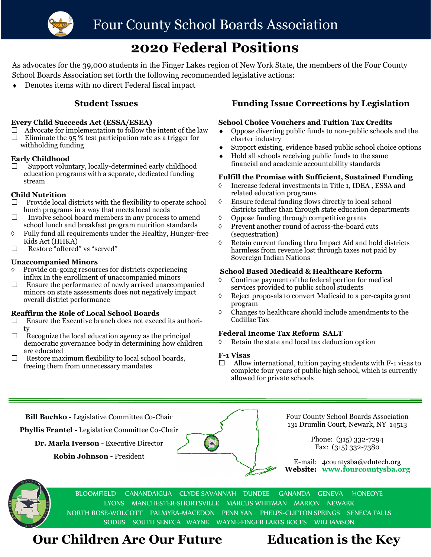

# **2020 Federal Positions**

As advocates for the 39,000 students in the Finger Lakes region of New York State, the members of the Four County School Boards Association set forth the following recommended legislative actions:

Denotes items with no direct Federal fiscal impact

#### **Every Child Succeeds Act (ESSA/ESEA)**

- $\Box$  Advocate for implementation to follow the intent of the law
- $\Box$  Eliminate the 95 % test participation rate as a trigger for withholding funding

### **Early Childhood**

 $\Box$  Support voluntary, locally-determined early childhood education programs with a separate, dedicated funding stream

### **Child Nutrition**

- $\Box$  Provide local districts with the flexibility to operate school lunch programs in a way that meets local needs
- $\Box$  Involve school board members in any process to amend school lunch and breakfast program nutrition standards
- $\Diamond$  Fully fund all requirements under the Healthy, Hunger-free Kids Act (HHKA)
- $\Box$  Restore "offered" vs "served"

#### **Unaccompanied Minors**

- Provide on-going resources for districts experiencing influx In the enrollment of unaccompanied minors
- $\Box$  Ensure the performance of newly arrived unaccompanied minors on state assessments does not negatively impact overall district performance

#### **Reaffirm the Role of Local School Boards**

- $\Box$  Ensure the Executive branch does not exceed its authority
- $\Box$  Recognize the local education agency as the principal democratic governance body in determining how children are educated
- $\Box$  Restore maximum flexibility to local school boards, freeing them from unnecessary mandates

## **Student Issues Funding Issue Corrections by Legislation**

#### **School Choice Vouchers and Tuition Tax Credits**

- Oppose diverting public funds to non-public schools and the charter industry
- Support existing, evidence based public school choice options
- Hold all schools receiving public funds to the same financial and academic accountability standards

### **Fulfill the Promise with Sufficient, Sustained Funding**

- Increase federal investments in Title 1, IDEA , ESSA and related education programs
- Ensure federal funding flows directly to local school districts rather than through state education departments
- $\lozenge$  Oppose funding through competitive grants
- Prevent another round of across-the-board cuts (sequestration)
- Retain current funding thru Impact Aid and hold districts harmless from revenue lost through taxes not paid by Sovereign Indian Nations

#### **School Based Medicaid & Healthcare Reform**

- Continue payment of the federal portion for medical services provided to public school students
- Reject proposals to convert Medicaid to a per-capita grant program
- $\Diamond$  Changes to healthcare should include amendments to the Cadillac Tax

#### **Federal Income Tax Reform SALT**

Retain the state and local tax deduction option

#### **F-1 Visas**

 $\Box$  Allow international, tuition paying students with F-1 visas to complete four years of public high school, which is currently allowed for private schools

**Bill Buchko -** Legislative Committee Co-Chair

**Phyllis Frantel -** Legislative Committee Co-Chair

**Dr. Marla Iverson** - Executive Director

**Robin Johnson -** President



Four County School Boards Association 131 Drumlin Court, Newark, NY 14513

> Phone: (315) 332-7294 Fax: (315) 332-7380

E-mail: 4countysba@edutech.org **Website: www.fourcountysba.org**



BLOOMFIELD CANANDAIGUA CLYDE SAVANNAH DUNDEE GANANDA GENEVA HONEOYE LYONS MANCHESTER-SHORTSVILLE MARCUS WHITMAN MARION NEWARK NORTH ROSE-WOLCOTT PALMYRA-MACEDON PENN YAN PHELPS-CLIFTON SPRINGS SENECA FALLS SODUS SOUTH SENECA WAYNE WAYNE-FINGER LAKES BOCES WILLIAMSON

# **Our Children Are Our Future Education is the Key**